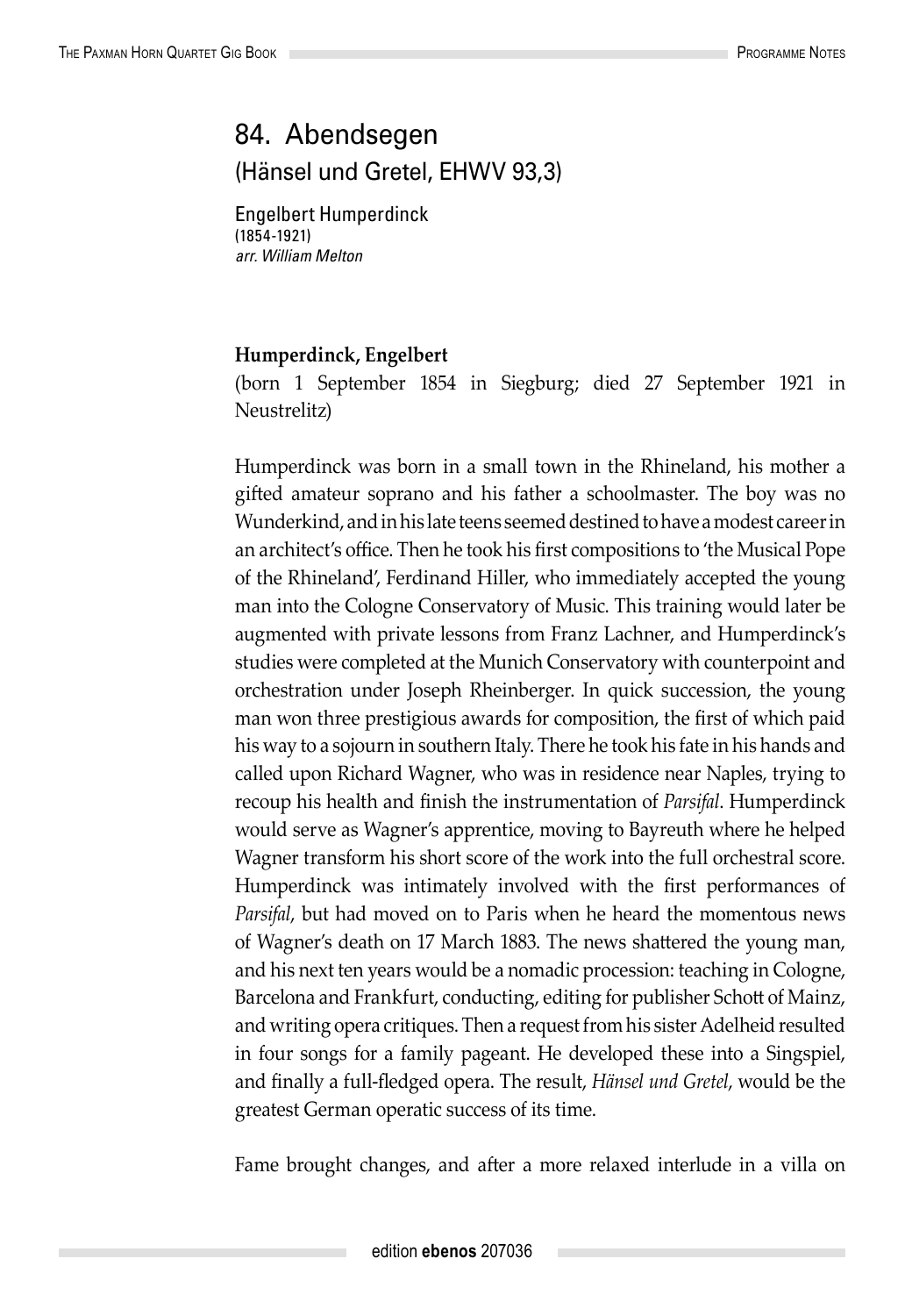## 84. Abendsegen (Hänsel und Gretel, EHWV 93,3)

Engelbert Humperdinck (1854-1921) *arr. William Melton*

## **Humperdinck, Engelbert**

(born 1 September 1854 in Siegburg; died 27 September 1921 in Neustrelitz)

Humperdinck was born in a small town in the Rhineland, his mother a gifted amateur soprano and his father a schoolmaster. The boy was no Wunderkind, and in his late teens seemed destined to have a modest career in an architect's office. Then he took his first compositions to 'the Musical Pope of the Rhineland', Ferdinand Hiller, who immediately accepted the young man into the Cologne Conservatory of Music. This training would later be augmented with private lessons from Franz Lachner, and Humperdinck's studies were completed at the Munich Conservatory with counterpoint and orchestration under Joseph Rheinberger. In quick succession, the young man won three prestigious awards for composition, the first of which paid his way to a sojourn in southern Italy. There he took his fate in his hands and called upon Richard Wagner, who was in residence near Naples, trying to recoup his health and finish the instrumentation of *Parsifal*. Humperdinck would serve as Wagner's apprentice, moving to Bayreuth where he helped Wagner transform his short score of the work into the full orchestral score. Humperdinck was intimately involved with the first performances of *Parsifal*, but had moved on to Paris when he heard the momentous news of Wagner's death on 17 March 1883. The news shattered the young man, and his next ten years would be a nomadic procession: teaching in Cologne, Barcelona and Frankfurt, conducting, editing for publisher Schott of Mainz, and writing opera critiques. Then a request from his sister Adelheid resulted in four songs for a family pageant. He developed these into a Singspiel, and finally a full-fledged opera. The result, *Hänsel und Gretel*, would be the greatest German operatic success of its time.

Fame brought changes, and after a more relaxed interlude in a villa on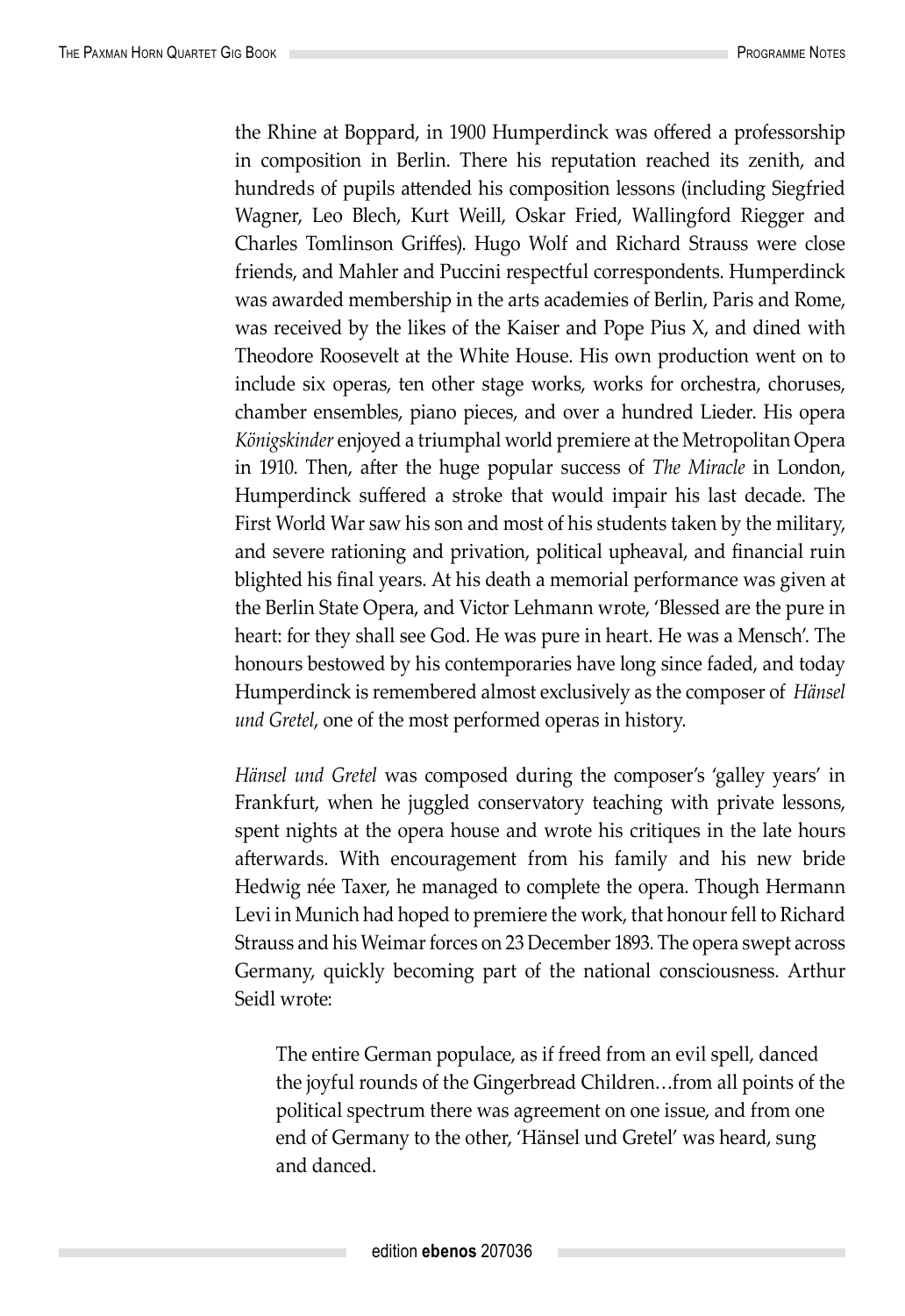the Rhine at Boppard, in 1900 Humperdinck was offered a professorship in composition in Berlin. There his reputation reached its zenith, and hundreds of pupils attended his composition lessons (including Siegfried Wagner, Leo Blech, Kurt Weill, Oskar Fried, Wallingford Riegger and Charles Tomlinson Griffes). Hugo Wolf and Richard Strauss were close friends, and Mahler and Puccini respectful correspondents. Humperdinck was awarded membership in the arts academies of Berlin, Paris and Rome, was received by the likes of the Kaiser and Pope Pius X, and dined with Theodore Roosevelt at the White House. His own production went on to include six operas, ten other stage works, works for orchestra, choruses, chamber ensembles, piano pieces, and over a hundred Lieder. His opera *Königskinder* enjoyed a triumphal world premiere at the Metropolitan Opera in 1910. Then, after the huge popular success of *The Miracle* in London, Humperdinck suffered a stroke that would impair his last decade. The First World War saw his son and most of his students taken by the military, and severe rationing and privation, political upheaval, and financial ruin blighted his final years. At his death a memorial performance was given at the Berlin State Opera, and Victor Lehmann wrote, 'Blessed are the pure in heart: for they shall see God. He was pure in heart. He was a Mensch'. The honours bestowed by his contemporaries have long since faded, and today Humperdinck is remembered almost exclusively as the composer of *Hänsel und Gretel*, one of the most performed operas in history.

*Hänsel und Gretel* was composed during the composer's 'galley years' in Frankfurt, when he juggled conservatory teaching with private lessons, spent nights at the opera house and wrote his critiques in the late hours afterwards. With encouragement from his family and his new bride Hedwig née Taxer, he managed to complete the opera. Though Hermann Levi in Munich had hoped to premiere the work, that honour fell to Richard Strauss and his Weimar forces on 23 December 1893. The opera swept across Germany, quickly becoming part of the national consciousness. Arthur Seidl wrote:

The entire German populace, as if freed from an evil spell, danced the joyful rounds of the Gingerbread Children…from all points of the political spectrum there was agreement on one issue, and from one end of Germany to the other, 'Hänsel und Gretel' was heard, sung and danced.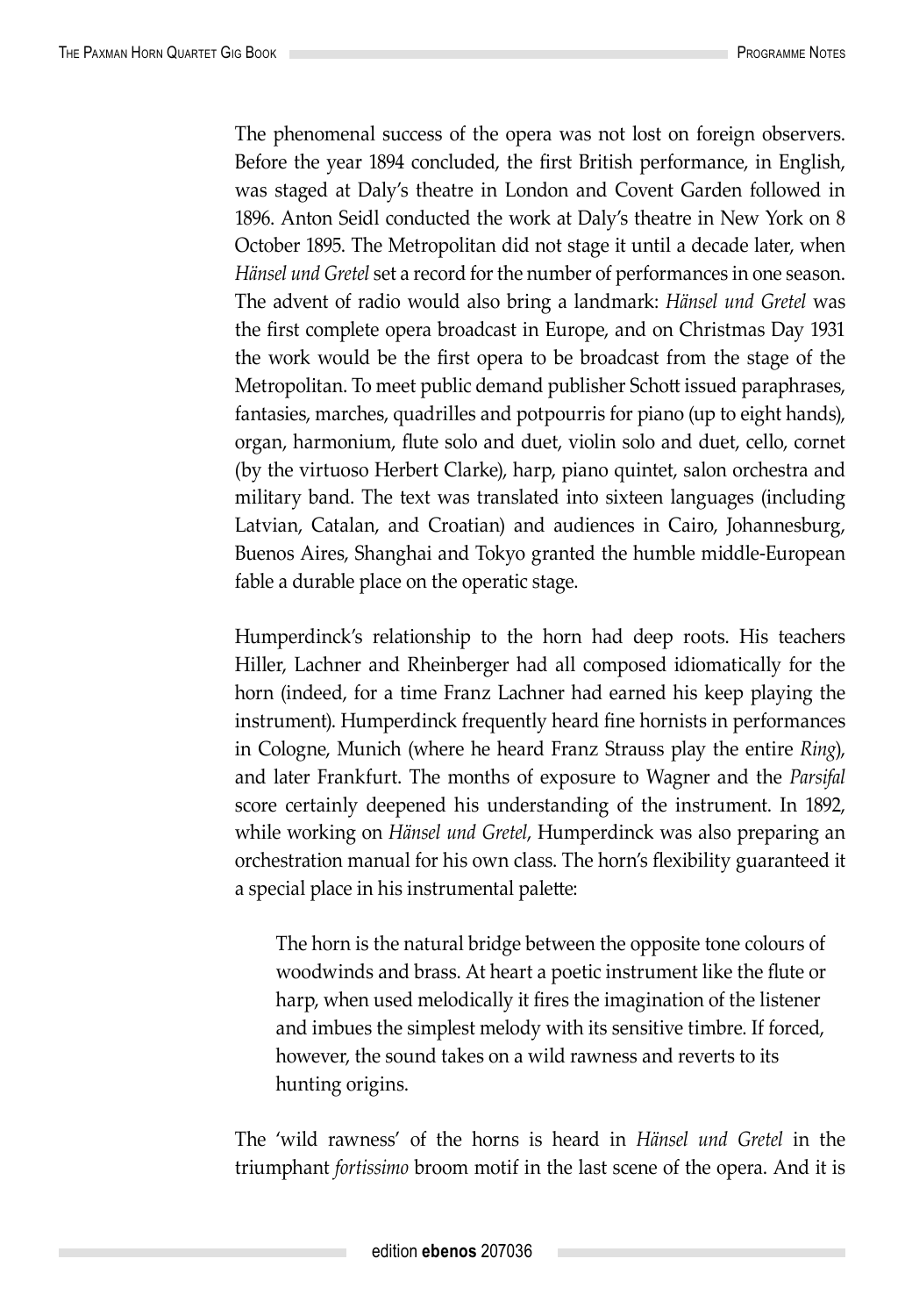The phenomenal success of the opera was not lost on foreign observers. Before the year 1894 concluded, the first British performance, in English, was staged at Daly's theatre in London and Covent Garden followed in 1896. Anton Seidl conducted the work at Daly's theatre in New York on 8 October 1895. The Metropolitan did not stage it until a decade later, when *Hänsel und Gretel* set a record for the number of performances in one season. The advent of radio would also bring a landmark: *Hänsel und Gretel* was the first complete opera broadcast in Europe, and on Christmas Day 1931 the work would be the first opera to be broadcast from the stage of the Metropolitan. To meet public demand publisher Schott issued paraphrases, fantasies, marches, quadrilles and potpourris for piano (up to eight hands), organ, harmonium, flute solo and duet, violin solo and duet, cello, cornet (by the virtuoso Herbert Clarke), harp, piano quintet, salon orchestra and military band. The text was translated into sixteen languages (including Latvian, Catalan, and Croatian) and audiences in Cairo, Johannesburg, Buenos Aires, Shanghai and Tokyo granted the humble middle-European fable a durable place on the operatic stage.

Humperdinck's relationship to the horn had deep roots. His teachers Hiller, Lachner and Rheinberger had all composed idiomatically for the horn (indeed, for a time Franz Lachner had earned his keep playing the instrument). Humperdinck frequently heard fine hornists in performances in Cologne, Munich (where he heard Franz Strauss play the entire *Ring*), and later Frankfurt. The months of exposure to Wagner and the *Parsifal* score certainly deepened his understanding of the instrument. In 1892, while working on *Hänsel und Gretel*, Humperdinck was also preparing an orchestration manual for his own class. The horn's flexibility guaranteed it a special place in his instrumental palette:

The horn is the natural bridge between the opposite tone colours of woodwinds and brass. At heart a poetic instrument like the flute or harp, when used melodically it fires the imagination of the listener and imbues the simplest melody with its sensitive timbre. If forced, however, the sound takes on a wild rawness and reverts to its hunting origins.

The 'wild rawness' of the horns is heard in *Hänsel und Gretel* in the triumphant *fortissimo* broom motif in the last scene of the opera. And it is